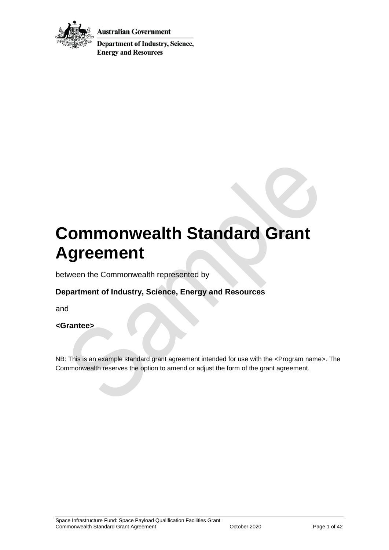

Australian Government

**Department of Industry, Science, Energy and Resources** 

# **Commonwealth Standard Grant Agreement**

between the Commonwealth represented by

## **Department of Industry, Science, Energy and Resources**

and

#### **<Grantee>**

NB: This is an example standard grant agreement intended for use with the <Program name>. The Commonwealth reserves the option to amend or adjust the form of the grant agreement.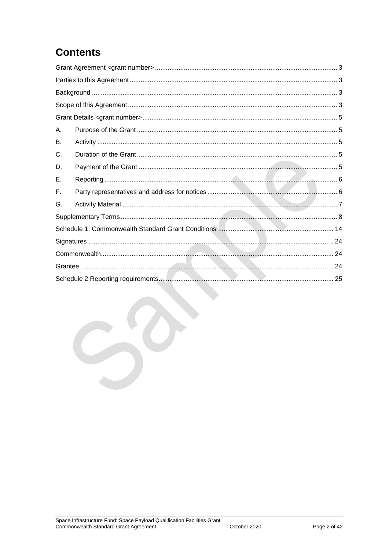## **Contents**

| А. |  |  |
|----|--|--|
| В. |  |  |
| C. |  |  |
| D. |  |  |
| Е. |  |  |
| F. |  |  |
| G. |  |  |
|    |  |  |
|    |  |  |
|    |  |  |
|    |  |  |
|    |  |  |
|    |  |  |
|    |  |  |
|    |  |  |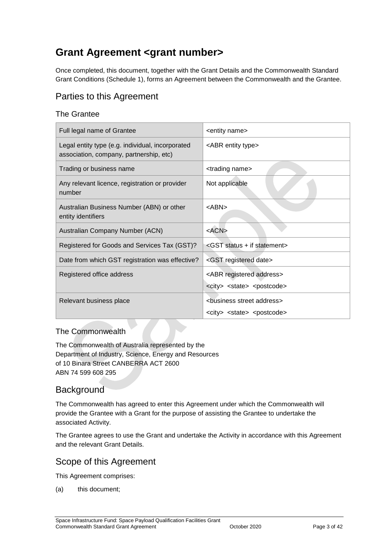## <span id="page-2-0"></span>**Grant Agreement <grant number>**

Once completed, this document, together with the Grant Details and the Commonwealth Standard Grant Conditions (Schedule 1), forms an Agreement between the Commonwealth and the Grantee.

## <span id="page-2-1"></span>Parties to this Agreement

#### The Grantee

| Full legal name of Grantee                                                                  | <entity name=""></entity>                                                                          |
|---------------------------------------------------------------------------------------------|----------------------------------------------------------------------------------------------------|
| Legal entity type (e.g. individual, incorporated<br>association, company, partnership, etc) | <abr entity="" type=""></abr>                                                                      |
| Trading or business name                                                                    | <trading name=""></trading>                                                                        |
| Any relevant licence, registration or provider<br>number                                    | Not applicable                                                                                     |
| Australian Business Number (ABN) or other<br>entity identifiers                             | <abn></abn>                                                                                        |
| Australian Company Number (ACN)                                                             | $<$ ACN $>$                                                                                        |
| Registered for Goods and Services Tax (GST)?                                                | <gst +="" if="" statement="" status=""></gst>                                                      |
| Date from which GST registration was effective?                                             | <gst date="" registered=""></gst>                                                                  |
| Registered office address                                                                   | <abr address="" registered=""></abr>                                                               |
|                                                                                             | <city> <state> <postcode></postcode></state></city>                                                |
| Relevant business place                                                                     | <business address="" street=""><br/><city> <state> <postcode></postcode></state></city></business> |

#### The Commonwealth

The Commonwealth of Australia represented by the Department of Industry, Science, Energy and Resources of 10 Binara Street CANBERRA ACT 2600 ABN 74 599 608 295

## <span id="page-2-2"></span>**Background**

The Commonwealth has agreed to enter this Agreement under which the Commonwealth will provide the Grantee with a Grant for the purpose of assisting the Grantee to undertake the associated Activity.

The Grantee agrees to use the Grant and undertake the Activity in accordance with this Agreement and the relevant Grant Details.

#### <span id="page-2-3"></span>Scope of this Agreement

This Agreement comprises:

(a) this document;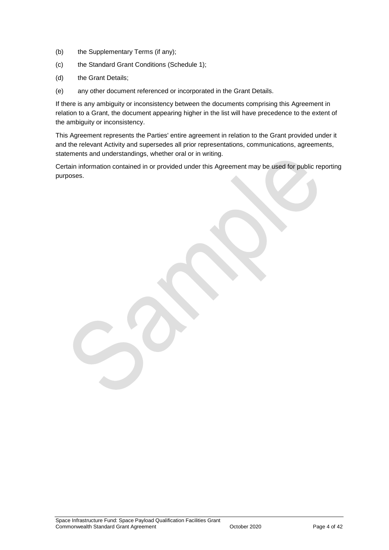- (b) the Supplementary Terms (if any);
- (c) the Standard Grant Conditions (Schedule 1);
- (d) the Grant Details;
- (e) any other document referenced or incorporated in the Grant Details.

If there is any ambiguity or inconsistency between the documents comprising this Agreement in relation to a Grant, the document appearing higher in the list will have precedence to the extent of the ambiguity or inconsistency.

This Agreement represents the Parties' entire agreement in relation to the Grant provided under it and the relevant Activity and supersedes all prior representations, communications, agreements, statements and understandings, whether oral or in writing.

Certain information contained in or provided under this Agreement may be used for public reporting purposes.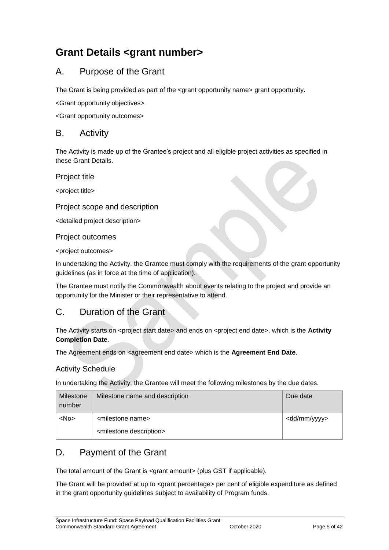## <span id="page-4-0"></span>**Grant Details <grant number>**

## <span id="page-4-1"></span>A. Purpose of the Grant

The Grant is being provided as part of the <grant opportunity name> grant opportunity.

<Grant opportunity objectives>

<Grant opportunity outcomes>

#### <span id="page-4-2"></span>B. Activity

The Activity is made up of the Grantee's project and all eligible project activities as specified in these Grant Details.

Project title

<project title>

#### Project scope and description

<detailed project description>

#### Project outcomes

<project outcomes>

In undertaking the Activity, the Grantee must comply with the requirements of the grant opportunity guidelines (as in force at the time of application).

The Grantee must notify the Commonwealth about events relating to the project and provide an opportunity for the Minister or their representative to attend.

## <span id="page-4-3"></span>C. Duration of the Grant

The Activity starts on <project start date> and ends on <project end date>, which is the **Activity Completion Date**.

The Agreement ends on <agreement end date> which is the **Agreement End Date**.

#### Activity Schedule

In undertaking the Activity, the Grantee will meet the following milestones by the due dates.

| Milestone<br>number | Milestone name and description         | Due date                |
|---------------------|----------------------------------------|-------------------------|
| $<$ No $>$          | <milestone name=""></milestone>        | <dd mm="" yyyy=""></dd> |
|                     | <milestone description=""></milestone> |                         |

## <span id="page-4-4"></span>D. Payment of the Grant

The total amount of the Grant is <grant amount> (plus GST if applicable).

The Grant will be provided at up to <grant percentage> per cent of eligible expenditure as defined in the grant opportunity guidelines subject to availability of Program funds.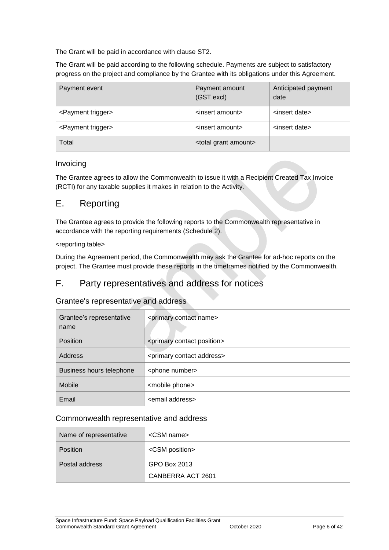The Grant will be paid in accordance with clause [ST2.](#page-7-1)

The Grant will be paid according to the following schedule. Payments are subject to satisfactory progress on the project and compliance by the Grantee with its obligations under this Agreement.

| Payment event                  | Payment amount<br>(GST excl)       | Anticipated payment<br>date |
|--------------------------------|------------------------------------|-----------------------------|
| <payment trigger=""></payment> | <insert amount=""></insert>        | <insert date=""></insert>   |
| <payment trigger=""></payment> | <insert amount=""></insert>        | <insert date=""></insert>   |
| Total                          | <total amount="" grant=""></total> |                             |

#### Invoicing

The Grantee agrees to allow the Commonwealth to issue it with a Recipient Created Tax Invoice (RCTI) for any taxable supplies it makes in relation to the Activity.

#### <span id="page-5-0"></span>E. Reporting

The Grantee agrees to provide the following reports to the Commonwealth representative in accordance with the reporting requirements (Schedule 2).

#### <reporting table>

During the Agreement period, the Commonwealth may ask the Grantee for ad-hoc reports on the project. The Grantee must provide these reports in the timeframes notified by the Commonwealth.

#### <span id="page-5-1"></span>F. Party representatives and address for notices

#### Grantee's representative and address

| Grantee's representative<br>name | <primary contact="" name=""></primary>     |
|----------------------------------|--------------------------------------------|
| Position                         | <primary contact="" position=""></primary> |
| Address                          | <primary address="" contact=""></primary>  |
| Business hours telephone         | <phone number=""></phone>                  |
| Mobile                           | <mobile phone=""></mobile>                 |
| Email                            | <email address=""></email>                 |

#### Commonwealth representative and address

| Name of representative | $\leq$ CSM name $\geq$  |
|------------------------|-------------------------|
| <b>Position</b>        | <csm position=""></csm> |
| Postal address         | GPO Box 2013            |
|                        | CANBERRA ACT 2601       |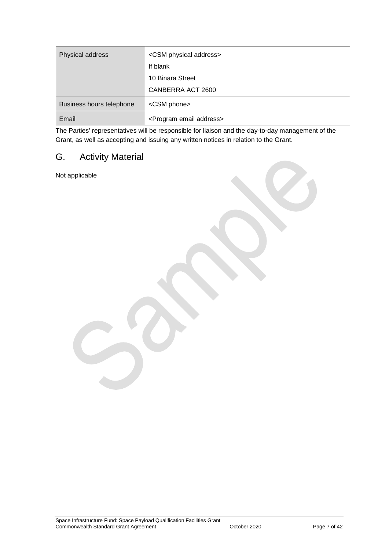| Physical address         | <csm address="" physical=""></csm>      |
|--------------------------|-----------------------------------------|
|                          | If blank                                |
|                          | 10 Binara Street                        |
|                          | CANBERRA ACT 2600                       |
| Business hours telephone | <csm phone=""></csm>                    |
| Email                    | <program address="" email=""></program> |

The Parties' representatives will be responsible for liaison and the day-to-day management of the Grant, as well as accepting and issuing any written notices in relation to the Grant.

## <span id="page-6-0"></span>G. Activity Material

Not applicable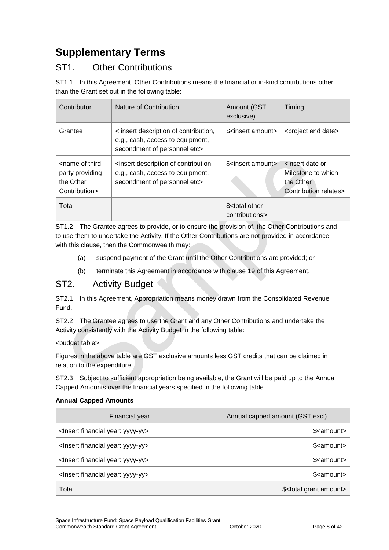## <span id="page-7-0"></span>**Supplementary Terms**

## ST1. Other Contributions

ST1.1 In this Agreement, Other Contributions means the financial or in-kind contributions other than the Grant set out in the following table:

| Contributor                                                                       | Nature of Contribution                                                                                    | Amount (GST<br>exclusive)                       | Timing                                                                                          |
|-----------------------------------------------------------------------------------|-----------------------------------------------------------------------------------------------------------|-------------------------------------------------|-------------------------------------------------------------------------------------------------|
| Grantee                                                                           | < insert description of contribution,<br>e.g., cash, access to equipment,<br>secondment of personnel etc> | \$ <insert amount=""></insert>                  | <project date="" end=""></project>                                                              |
| <name of="" third<br="">party providing<br/>the Other<br/>Contribution&gt;</name> | insert description of contribution,<br>e.g., cash, access to equipment,<br>secondment of personnel etc>   | \$ <insert amount=""></insert>                  | <insert date="" or<br="">Milestone to which<br/>the Other<br/>Contribution relates&gt;</insert> |
| Total                                                                             |                                                                                                           | \$ <total other<br="">contributions&gt;</total> |                                                                                                 |

ST1.2 The Grantee agrees to provide, or to ensure the provision of, the Other Contributions and to use them to undertake the Activity. If the Other Contributions are not provided in accordance with this clause, then the Commonwealth may:

- (a) suspend payment of the Grant until the Other Contributions are provided; or
- (b) terminate this Agreement in accordance with clause 19 of this Agreement.

#### <span id="page-7-1"></span>ST2. Activity Budget

ST2.1 In this Agreement, Appropriation means money drawn from the Consolidated Revenue Fund.

ST2.2 The Grantee agrees to use the Grant and any Other Contributions and undertake the Activity consistently with the Activity Budget in the following table:

#### <budget table>

Figures in the above table are GST exclusive amounts less GST credits that can be claimed in relation to the expenditure.

ST2.3 Subject to sufficient appropriation being available, the Grant will be paid up to the Annual Capped Amounts over the financial years specified in the following table.

#### **Annual Capped Amounts**

| Financial year                                     | Annual capped amount (GST excl)       |
|----------------------------------------------------|---------------------------------------|
| <lnsert financial="" year:="" yyyy-yy=""></lnsert> | \$ <amount></amount>                  |
| <lnsert financial="" year:="" yyyy-yy=""></lnsert> | \$ <amount></amount>                  |
| <lnsert financial="" year:="" yyyy-yy=""></lnsert> | \$ <amount></amount>                  |
| <lnsert financial="" year:="" yyyy-yy=""></lnsert> | \$ <amount></amount>                  |
| Total                                              | \$ <total amount="" grant=""></total> |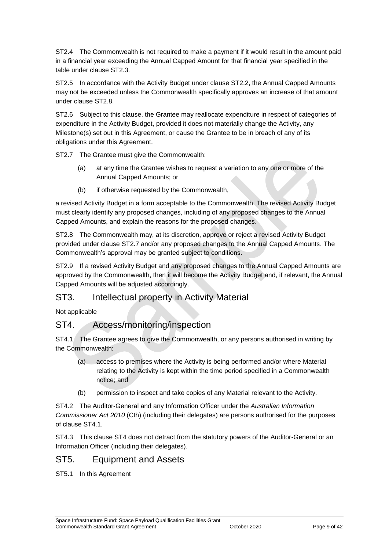ST2.4 The Commonwealth is not required to make a payment if it would result in the amount paid in a financial year exceeding the Annual Capped Amount for that financial year specified in the table under clause ST2.3.

ST2.5 In accordance with the Activity Budget under clause ST2.2, the Annual Capped Amounts may not be exceeded unless the Commonwealth specifically approves an increase of that amount under clause ST2.8.

ST2.6 Subject to this clause, the Grantee may reallocate expenditure in respect of categories of expenditure in the Activity Budget, provided it does not materially change the Activity, any Milestone(s) set out in this Agreement, or cause the Grantee to be in breach of any of its obligations under this Agreement.

ST2.7 The Grantee must give the Commonwealth:

- (a) at any time the Grantee wishes to request a variation to any one or more of the Annual Capped Amounts; or
- (b) if otherwise requested by the Commonwealth,

a revised Activity Budget in a form acceptable to the Commonwealth. The revised Activity Budget must clearly identify any proposed changes, including of any proposed changes to the Annual Capped Amounts, and explain the reasons for the proposed changes.

ST2.8 The Commonwealth may, at its discretion, approve or reject a revised Activity Budget provided under clause ST2.7 and/or any proposed changes to the Annual Capped Amounts. The Commonwealth's approval may be granted subject to conditions.

ST2.9 If a revised Activity Budget and any proposed changes to the Annual Capped Amounts are approved by the Commonwealth, then it will become the Activity Budget and, if relevant, the Annual Capped Amounts will be adjusted accordingly.

## ST3. Intellectual property in Activity Material

Not applicable

## ST4. Access/monitoring/inspection

ST4.1 The Grantee agrees to give the Commonwealth, or any persons authorised in writing by the Commonwealth:

- (a) access to premises where the Activity is being performed and/or where Material relating to the Activity is kept within the time period specified in a Commonwealth notice; and
- (b) permission to inspect and take copies of any Material relevant to the Activity.

ST4.2 The Auditor-General and any Information Officer under the *Australian Information Commissioner Act 2010* (Cth) (including their delegates) are persons authorised for the purposes of clause ST4.1.

ST4.3 This clause ST4 does not detract from the statutory powers of the Auditor-General or an Information Officer (including their delegates).

#### ST5. Equipment and Assets

ST5.1 In this Agreement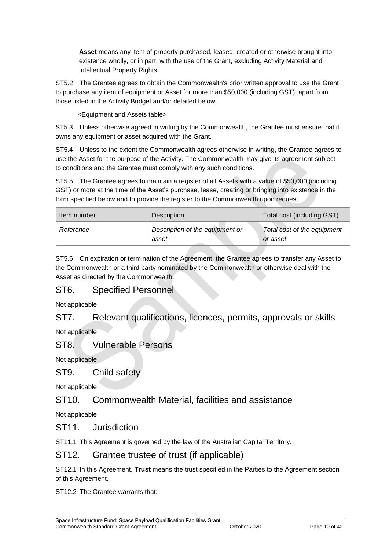**Asset** means any item of property purchased, leased, created or otherwise brought into existence wholly, or in part, with the use of the Grant, excluding Activity Material and Intellectual Property Rights.

ST5.2 The Grantee agrees to obtain the Commonwealth's prior written approval to use the Grant to purchase any item of equipment or Asset for more than \$50,000 (including GST), apart from those listed in the Activity Budget and/or detailed below:

<Equipment and Assets table>

ST5.3 Unless otherwise agreed in writing by the Commonwealth, the Grantee must ensure that it owns any equipment or asset acquired with the Grant.

ST5.4 Unless to the extent the Commonwealth agrees otherwise in writing, the Grantee agrees to use the Asset for the purpose of the Activity. The Commonwealth may give its agreement subject to conditions and the Grantee must comply with any such conditions.

ST5.5 The Grantee agrees to maintain a register of all Assets with a value of \$50,000 (including GST) or more at the time of the Asset's purchase, lease, creating or bringing into existence in the form specified below and to provide the register to the Commonwealth upon request.

| Item number | <b>Description</b>                       | Total cost (including GST)              |
|-------------|------------------------------------------|-----------------------------------------|
| Reference   | Description of the equipment or<br>asset | Total cost of the equipment<br>or asset |

ST5.6 On expiration or termination of the Agreement, the Grantee agrees to transfer any Asset to the Commonwealth or a third party nominated by the Commonwealth or otherwise deal with the Asset as directed by the Commonwealth.

## ST6. Specified Personnel

Not applicable

## ST7. Relevant qualifications, licences, permits, approvals or skills

Not applicable

#### ST8. Vulnerable Persons

Not applicable

#### ST9. Child safety

Not applicable

#### ST10. Commonwealth Material, facilities and assistance

Not applicable

#### ST11 **Jurisdiction**

ST11.1 This Agreement is governed by the law of the Australian Capital Territory.

#### ST12. Grantee trustee of trust (if applicable)

ST12.1 In this Agreement, **Trust** means the trust specified in the Parties to the Agreement section of this Agreement.

ST12.2 The Grantee warrants that: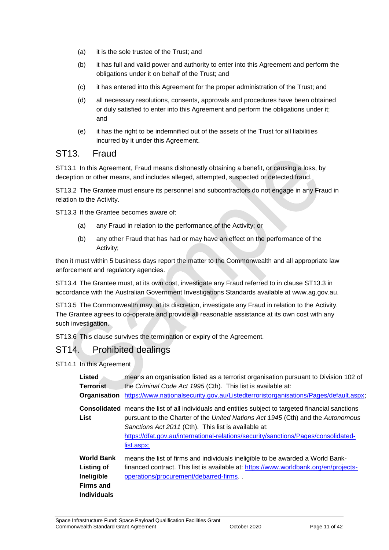- (a) it is the sole trustee of the Trust; and
- (b) it has full and valid power and authority to enter into this Agreement and perform the obligations under it on behalf of the Trust; and
- (c) it has entered into this Agreement for the proper administration of the Trust; and
- (d) all necessary resolutions, consents, approvals and procedures have been obtained or duly satisfied to enter into this Agreement and perform the obligations under it; and
- (e) it has the right to be indemnified out of the assets of the Trust for all liabilities incurred by it under this Agreement.

#### ST13. Fraud

ST13.1 In this Agreement, Fraud means dishonestly obtaining a benefit, or causing a loss, by deception or other means, and includes alleged, attempted, suspected or detected fraud.

ST13.2 The Grantee must ensure its personnel and subcontractors do not engage in any Fraud in relation to the Activity.

ST13.3 If the Grantee becomes aware of:

- (a) any Fraud in relation to the performance of the Activity; or
- (b) any other Fraud that has had or may have an effect on the performance of the Activity;

then it must within 5 business days report the matter to the Commonwealth and all appropriate law enforcement and regulatory agencies.

ST13.4 The Grantee must, at its own cost, investigate any Fraud referred to in clause ST13.3 in accordance with the Australian Government Investigations Standards available at [www.ag.gov.au.](http://www.ag.gov.au/)

ST13.5 The Commonwealth may, at its discretion, investigate any Fraud in relation to the Activity. The Grantee agrees to co-operate and provide all reasonable assistance at its own cost with any such investigation.

ST13.6 This clause survives the termination or expiry of the Agreement.

## ST14. Prohibited dealings

ST14.1 In this Agreement

| <b>Listed</b>                                                                                  | means an organisation listed as a terrorist organisation pursuant to Division 102 of                                                                                                                                                                                                                                                                      |
|------------------------------------------------------------------------------------------------|-----------------------------------------------------------------------------------------------------------------------------------------------------------------------------------------------------------------------------------------------------------------------------------------------------------------------------------------------------------|
| <b>Terrorist</b>                                                                               | the Criminal Code Act 1995 (Cth). This list is available at:                                                                                                                                                                                                                                                                                              |
| Organisation                                                                                   | https://www.nationalsecurity.gov.au/Listedterroristorganisations/Pages/default.aspx;                                                                                                                                                                                                                                                                      |
| List                                                                                           | <b>Consolidated</b> means the list of all individuals and entities subject to targeted financial sanctions<br>pursuant to the Charter of the United Nations Act 1945 (Cth) and the Autonomous<br>Sanctions Act 2011 (Cth). This list is available at:<br>https://dfat.gov.au/international-relations/security/sanctions/Pages/consolidated-<br>list.aspx; |
| <b>World Bank</b><br><b>Listing of</b><br>Ineligible<br><b>Firms and</b><br><b>Individuals</b> | means the list of firms and individuals ineligible to be awarded a World Bank-<br>financed contract. This list is available at: https://www.worldbank.org/en/projects-<br>operations/procurement/debarred-firms                                                                                                                                           |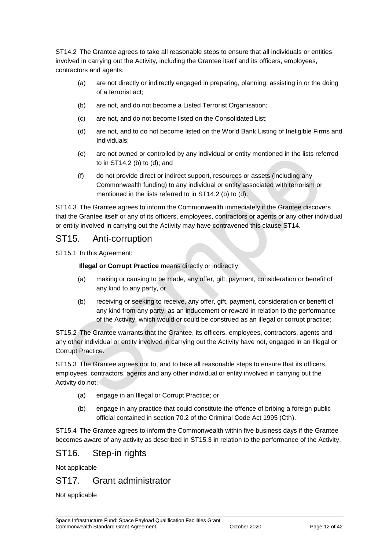ST14.2 The Grantee agrees to take all reasonable steps to ensure that all individuals or entities involved in carrying out the Activity, including the Grantee itself and its officers, employees, contractors and agents:

- (a) are not directly or indirectly engaged in preparing, planning, assisting in or the doing of a terrorist act;
- (b) are not, and do not become a Listed Terrorist Organisation;
- (c) are not, and do not become listed on the Consolidated List;
- (d) are not, and to do not become listed on the World Bank Listing of Ineligible Firms and Individuals;
- (e) are not owned or controlled by any individual or entity mentioned in the lists referred to in ST14.2 (b) to (d); and
- (f) do not provide direct or indirect support, resources or assets (including any Commonwealth funding) to any individual or entity associated with terrorism or mentioned in the lists referred to in ST14.2 (b) to (d).

ST14.3 The Grantee agrees to inform the Commonwealth immediately if the Grantee discovers that the Grantee itself or any of its officers, employees, contractors or agents or any other individual or entity involved in carrying out the Activity may have contravened this clause ST14.

#### ST15. Anti-corruption

ST15.1 In this Agreement:

**Illegal or Corrupt Practice** means directly or indirectly:

- (a) making or causing to be made, any offer, gift, payment, consideration or benefit of any kind to any party, or
- (b) receiving or seeking to receive, any offer, gift, payment, consideration or benefit of any kind from any party, as an inducement or reward in relation to the performance of the Activity, which would or could be construed as an illegal or corrupt practice;

ST15.2 The Grantee warrants that the Grantee, its officers, employees, contractors, agents and any other individual or entity involved in carrying out the Activity have not, engaged in an Illegal or Corrupt Practice.

ST15.3 The Grantee agrees not to, and to take all reasonable steps to ensure that its officers, employees, contractors, agents and any other individual or entity involved in carrying out the Activity do not:

- (a) engage in an Illegal or Corrupt Practice; or
- (b) engage in any practice that could constitute the offence of bribing a foreign public official contained in section 70.2 of the Criminal Code Act 1995 (Cth).

ST15.4 The Grantee agrees to inform the Commonwealth within five business days if the Grantee becomes aware of any activity as described in ST15.3 in relation to the performance of the Activity.

## ST16. Step-in rights

Not applicable

## ST17. Grant administrator

Not applicable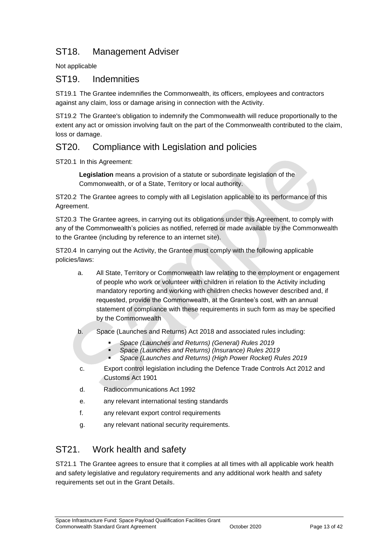## ST18. Management Adviser

Not applicable

#### ST19. Indemnities

ST19.1 The Grantee indemnifies the Commonwealth, its officers, employees and contractors against any claim, loss or damage arising in connection with the Activity.

ST19.2 The Grantee's obligation to indemnify the Commonwealth will reduce proportionally to the extent any act or omission involving fault on the part of the Commonwealth contributed to the claim, loss or damage.

## ST20. Compliance with Legislation and policies

ST20.1 In this Agreement:

**Legislation** means a provision of a statute or subordinate legislation of the Commonwealth, or of a State, Territory or local authority.

ST20.2 The Grantee agrees to comply with all Legislation applicable to its performance of this Agreement.

ST20.3 The Grantee agrees, in carrying out its obligations under this Agreement, to comply with any of the Commonwealth's policies as notified, referred or made available by the Commonwealth to the Grantee (including by reference to an internet site).

ST20.4 In carrying out the Activity, the Grantee must comply with the following applicable policies/laws:

- a. All State, Territory or Commonwealth law relating to the employment or engagement of people who work or volunteer with children in relation to the Activity including mandatory reporting and working with children checks however described and, if requested, provide the Commonwealth, at the Grantee's cost, with an annual statement of compliance with these requirements in such form as may be specified by the Commonwealth
- b. Space (Launches and Returns) Act 2018 and associated rules including:
	- *Space (Launches and Returns) (General) Rules 2019*
	- *Space (Launches and Returns) (Insurance) Rules 2019*
	- *Space (Launches and Returns) (High Power Rocket) Rules 2019*
- c. Export control legislation including the Defence Trade Controls Act 2012 and Customs Act 1901
- d. Radiocommunications Act 1992
- e. any relevant international testing standards
- f. any relevant export control requirements
- g. any relevant national security requirements.

## ST21. Work health and safety

ST21.1 The Grantee agrees to ensure that it complies at all times with all applicable work health and safety legislative and regulatory requirements and any additional work health and safety requirements set out in the Grant Details.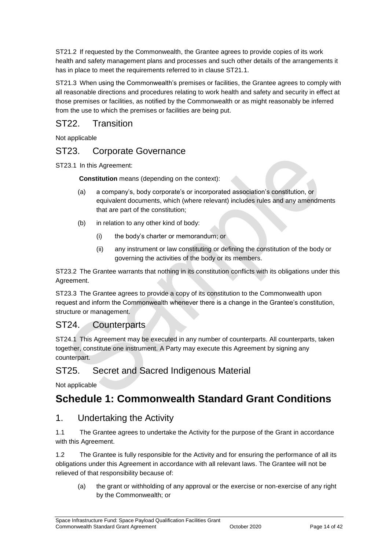ST21.2 If requested by the Commonwealth, the Grantee agrees to provide copies of its work health and safety management plans and processes and such other details of the arrangements it has in place to meet the requirements referred to in clause ST21.1.

ST21.3 When using the Commonwealth's premises or facilities, the Grantee agrees to comply with all reasonable directions and procedures relating to work health and safety and security in effect at those premises or facilities, as notified by the Commonwealth or as might reasonably be inferred from the use to which the premises or facilities are being put.

## ST22. Transition

Not applicable

#### ST23. Corporate Governance

ST23.1 In this Agreement:

**Constitution** means (depending on the context):

- (a) a company's, body corporate's or incorporated association's constitution, or equivalent documents, which (where relevant) includes rules and any amendments that are part of the constitution;
- (b) in relation to any other kind of body:
	- (i) the body's charter or memorandum; or
	- (ii) any instrument or law constituting or defining the constitution of the body or governing the activities of the body or its members.

ST23.2 The Grantee warrants that nothing in its constitution conflicts with its obligations under this Agreement.

ST23.3 The Grantee agrees to provide a copy of its constitution to the Commonwealth upon request and inform the Commonwealth whenever there is a change in the Grantee's constitution, structure or management.

## ST24. Counterparts

ST24.1 This Agreement may be executed in any number of counterparts. All counterparts, taken together, constitute one instrument. A Party may execute this Agreement by signing any counterpart.

#### ST25. Secret and Sacred Indigenous Material

Not applicable

## <span id="page-13-0"></span>**Schedule 1: Commonwealth Standard Grant Conditions**

#### 1. Undertaking the Activity

1.1 The Grantee agrees to undertake the Activity for the purpose of the Grant in accordance with this Agreement.

1.2 The Grantee is fully responsible for the Activity and for ensuring the performance of all its obligations under this Agreement in accordance with all relevant laws. The Grantee will not be relieved of that responsibility because of:

(a) the grant or withholding of any approval or the exercise or non‐exercise of any right by the Commonwealth; or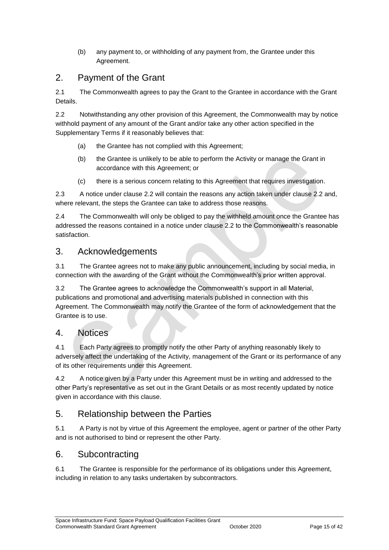(b) any payment to, or withholding of any payment from, the Grantee under this Agreement.

## 2. Payment of the Grant

2.1 The Commonwealth agrees to pay the Grant to the Grantee in accordance with the Grant Details.

2.2 Notwithstanding any other provision of this Agreement, the Commonwealth may by notice withhold payment of any amount of the Grant and/or take any other action specified in the Supplementary Terms if it reasonably believes that:

- (a) the Grantee has not complied with this Agreement;
- (b) the Grantee is unlikely to be able to perform the Activity or manage the Grant in accordance with this Agreement; or
- (c) there is a serious concern relating to this Agreement that requires investigation.

2.3 A notice under clause 2.2 will contain the reasons any action taken under clause 2.2 and, where relevant, the steps the Grantee can take to address those reasons.

2.4 The Commonwealth will only be obliged to pay the withheld amount once the Grantee has addressed the reasons contained in a notice under clause 2.2 to the Commonwealth's reasonable satisfaction.

## 3. Acknowledgements

3.1 The Grantee agrees not to make any public announcement, including by social media, in connection with the awarding of the Grant without the Commonwealth's prior written approval.

3.2 The Grantee agrees to acknowledge the Commonwealth's support in all Material, publications and promotional and advertising materials published in connection with this Agreement. The Commonwealth may notify the Grantee of the form of acknowledgement that the Grantee is to use.

## 4. Notices

4.1 Each Party agrees to promptly notify the other Party of anything reasonably likely to adversely affect the undertaking of the Activity, management of the Grant or its performance of any of its other requirements under this Agreement.

4.2 A notice given by a Party under this Agreement must be in writing and addressed to the other Party's representative as set out in the Grant Details or as most recently updated by notice given in accordance with this clause.

## 5. Relationship between the Parties

5.1 A Party is not by virtue of this Agreement the employee, agent or partner of the other Party and is not authorised to bind or represent the other Party.

## 6. Subcontracting

6.1 The Grantee is responsible for the performance of its obligations under this Agreement, including in relation to any tasks undertaken by subcontractors.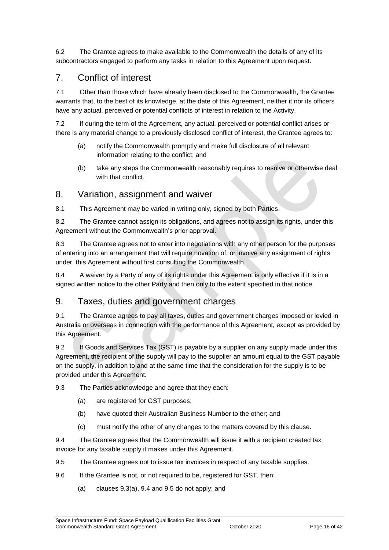6.2 The Grantee agrees to make available to the Commonwealth the details of any of its subcontractors engaged to perform any tasks in relation to this Agreement upon request.

## 7. Conflict of interest

7.1 Other than those which have already been disclosed to the Commonwealth, the Grantee warrants that, to the best of its knowledge, at the date of this Agreement, neither it nor its officers have any actual, perceived or potential conflicts of interest in relation to the Activity.

7.2 If during the term of the Agreement, any actual, perceived or potential conflict arises or there is any material change to a previously disclosed conflict of interest, the Grantee agrees to:

- (a) notify the Commonwealth promptly and make full disclosure of all relevant information relating to the conflict; and
- (b) take any steps the Commonwealth reasonably requires to resolve or otherwise deal with that conflict.

#### 8. Variation, assignment and waiver

8.1 This Agreement may be varied in writing only, signed by both Parties.

8.2 The Grantee cannot assign its obligations, and agrees not to assign its rights, under this Agreement without the Commonwealth's prior approval.

8.3 The Grantee agrees not to enter into negotiations with any other person for the purposes of entering into an arrangement that will require novation of, or involve any assignment of rights under, this Agreement without first consulting the Commonwealth.

8.4 A waiver by a Party of any of its rights under this Agreement is only effective if it is in a signed written notice to the other Party and then only to the extent specified in that notice.

## 9. Taxes, duties and government charges

9.1 The Grantee agrees to pay all taxes, duties and government charges imposed or levied in Australia or overseas in connection with the performance of this Agreement, except as provided by this Agreement.

9.2 If Goods and Services Tax (GST) is payable by a supplier on any supply made under this Agreement, the recipient of the supply will pay to the supplier an amount equal to the GST payable on the supply, in addition to and at the same time that the consideration for the supply is to be provided under this Agreement.

#### 9.3 The Parties acknowledge and agree that they each:

- (a) are registered for GST purposes;
- (b) have quoted their Australian Business Number to the other; and
- (c) must notify the other of any changes to the matters covered by this clause.

9.4 The Grantee agrees that the Commonwealth will issue it with a recipient created tax invoice for any taxable supply it makes under this Agreement.

- 9.5 The Grantee agrees not to issue tax invoices in respect of any taxable supplies.
- 9.6 If the Grantee is not, or not required to be, registered for GST, then:
	- (a) clauses 9.3(a), 9.4 and 9.5 do not apply; and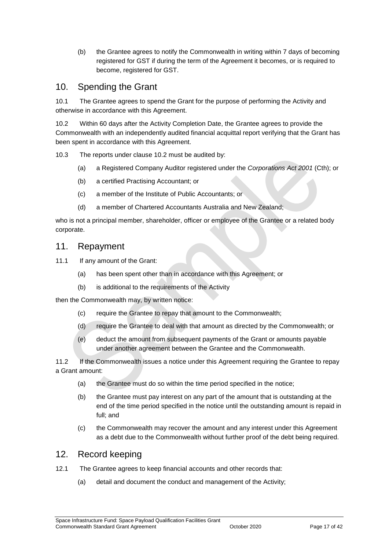(b) the Grantee agrees to notify the Commonwealth in writing within 7 days of becoming registered for GST if during the term of the Agreement it becomes, or is required to become, registered for GST.

#### 10. Spending the Grant

10.1 The Grantee agrees to spend the Grant for the purpose of performing the Activity and otherwise in accordance with this Agreement.

10.2 Within 60 days after the Activity Completion Date, the Grantee agrees to provide the Commonwealth with an independently audited financial acquittal report verifying that the Grant has been spent in accordance with this Agreement.

10.3 The reports under clause 10.2 must be audited by:

- (a) a Registered Company Auditor registered under the *Corporations Act 2001* (Cth); or
- (b) a certified Practising Accountant; or
- (c) a member of the Institute of Public Accountants; or
- (d) a member of Chartered Accountants Australia and New Zealand;

who is not a principal member, shareholder, officer or employee of the Grantee or a related body corporate.

#### 11. Repayment

11.1 If any amount of the Grant:

- (a) has been spent other than in accordance with this Agreement; or
- (b) is additional to the requirements of the Activity

then the Commonwealth may, by written notice:

- (c) require the Grantee to repay that amount to the Commonwealth;
- (d) require the Grantee to deal with that amount as directed by the Commonwealth; or
- (e) deduct the amount from subsequent payments of the Grant or amounts payable under another agreement between the Grantee and the Commonwealth.

11.2 If the Commonwealth issues a notice under this Agreement requiring the Grantee to repay a Grant amount:

- (a) the Grantee must do so within the time period specified in the notice;
- (b) the Grantee must pay interest on any part of the amount that is outstanding at the end of the time period specified in the notice until the outstanding amount is repaid in full; and
- (c) the Commonwealth may recover the amount and any interest under this Agreement as a debt due to the Commonwealth without further proof of the debt being required.

#### 12. Record keeping

- 12.1 The Grantee agrees to keep financial accounts and other records that:
	- (a) detail and document the conduct and management of the Activity;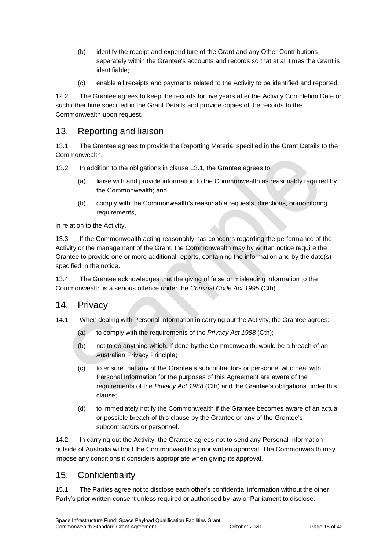- (b) identify the receipt and expenditure of the Grant and any Other Contributions separately within the Grantee's accounts and records so that at all times the Grant is identifiable;
- (c) enable all receipts and payments related to the Activity to be identified and reported.

12.2 The Grantee agrees to keep the records for five years after the Activity Completion Date or such other time specified in the Grant Details and provide copies of the records to the Commonwealth upon request.

#### 13. Reporting and liaison

13.1 The Grantee agrees to provide the Reporting Material specified in the Grant Details to the Commonwealth.

13.2 In addition to the obligations in clause 13.1, the Grantee agrees to:

- (a) liaise with and provide information to the Commonwealth as reasonably required by the Commonwealth; and
- (b) comply with the Commonwealth's reasonable requests, directions, or monitoring requirements,

in relation to the Activity.

13.3 If the Commonwealth acting reasonably has concerns regarding the performance of the Activity or the management of the Grant, the Commonwealth may by written notice require the Grantee to provide one or more additional reports, containing the information and by the date(s) specified in the notice.

13.4 The Grantee acknowledges that the giving of false or misleading information to the Commonwealth is a serious offence under the *Criminal Code Act 1995* (Cth).

#### 14. Privacy

- 14.1 When dealing with Personal Information in carrying out the Activity, the Grantee agrees:
	- (a) to comply with the requirements of the *Privacy Act 1988* (Cth);
	- (b) not to do anything which, if done by the Commonwealth, would be a breach of an Australian Privacy Principle;
	- (c) to ensure that any of the Grantee's subcontractors or personnel who deal with Personal Information for the purposes of this Agreement are aware of the requirements of the *Privacy Act 1988* (Cth) and the Grantee's obligations under this clause;
	- (d) to immediately notify the Commonwealth if the Grantee becomes aware of an actual or possible breach of this clause by the Grantee or any of the Grantee's subcontractors or personnel.

14.2 In carrying out the Activity, the Grantee agrees not to send any Personal Information outside of Australia without the Commonwealth's prior written approval. The Commonwealth may impose any conditions it considers appropriate when giving its approval.

#### 15. Confidentiality

15.1 The Parties agree not to disclose each other's confidential information without the other Party's prior written consent unless required or authorised by law or Parliament to disclose.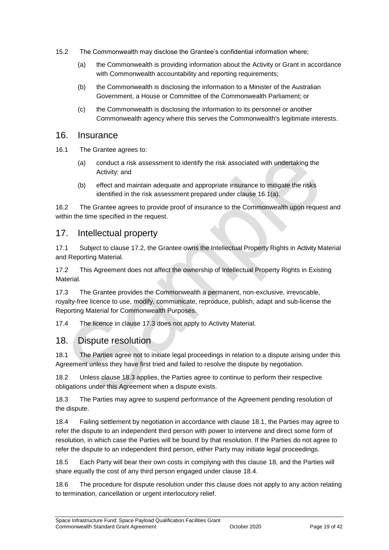- 15.2 The Commonwealth may disclose the Grantee's confidential information where;
	- (a) the Commonwealth is providing information about the Activity or Grant in accordance with Commonwealth accountability and reporting requirements;
	- (b) the Commonwealth is disclosing the information to a Minister of the Australian Government, a House or Committee of the Commonwealth Parliament; or
	- (c) the Commonwealth is disclosing the information to its personnel or another Commonwealth agency where this serves the Commonwealth's legitimate interests.

#### 16. Insurance

- 16.1 The Grantee agrees to:
	- (a) conduct a risk assessment to identify the risk associated with undertaking the Activity: and
	- (b) effect and maintain adequate and appropriate insurance to mitigate the risks identified in the risk assessment prepared under clause 16.1(a).

16.2 The Grantee agrees to provide proof of insurance to the Commonwealth upon request and within the time specified in the request.

#### 17. Intellectual property

17.1 Subject to clause 17.2, the Grantee owns the Intellectual Property Rights in Activity Material and Reporting Material.

17.2 This Agreement does not affect the ownership of Intellectual Property Rights in Existing Material.

17.3 The Grantee provides the Commonwealth a permanent, non-exclusive, irrevocable, royalty‐free licence to use, modify, communicate, reproduce, publish, adapt and sub-license the Reporting Material for Commonwealth Purposes.

17.4 The licence in clause 17.3 does not apply to Activity Material.

#### 18. Dispute resolution

18.1 The Parties agree not to initiate legal proceedings in relation to a dispute arising under this Agreement unless they have first tried and failed to resolve the dispute by negotiation.

18.2 Unless clause 18.3 applies, the Parties agree to continue to perform their respective obligations under this Agreement when a dispute exists.

18.3 The Parties may agree to suspend performance of the Agreement pending resolution of the dispute.

18.4 Failing settlement by negotiation in accordance with clause 18.1, the Parties may agree to refer the dispute to an independent third person with power to intervene and direct some form of resolution, in which case the Parties will be bound by that resolution. If the Parties do not agree to refer the dispute to an independent third person, either Party may initiate legal proceedings.

18.5 Each Party will bear their own costs in complying with this clause 18, and the Parties will share equally the cost of any third person engaged under clause 18.4.

18.6 The procedure for dispute resolution under this clause does not apply to any action relating to termination, cancellation or urgent interlocutory relief.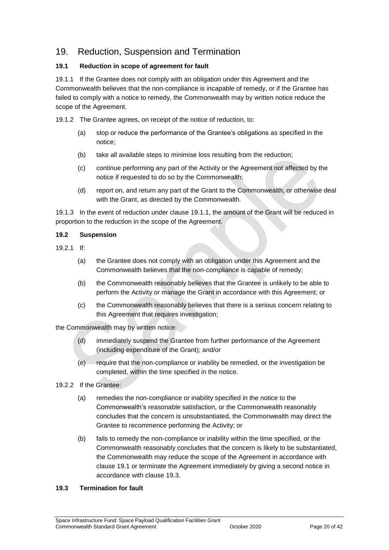## 19. Reduction, Suspension and Termination

#### **19.1 Reduction in scope of agreement for fault**

19.1.1 If the Grantee does not comply with an obligation under this Agreement and the Commonwealth believes that the non‐compliance is incapable of remedy, or if the Grantee has failed to comply with a notice to remedy, the Commonwealth may by written notice reduce the scope of the Agreement.

19.1.2 The Grantee agrees, on receipt of the notice of reduction, to:

- (a) stop or reduce the performance of the Grantee's obligations as specified in the notice;
- (b) take all available steps to minimise loss resulting from the reduction;
- (c) continue performing any part of the Activity or the Agreement not affected by the notice if requested to do so by the Commonwealth;
- (d) report on, and return any part of the Grant to the Commonwealth, or otherwise deal with the Grant, as directed by the Commonwealth.

19.1.3 In the event of reduction under clause 19.1.1, the amount of the Grant will be reduced in proportion to the reduction in the scope of the Agreement.

#### **19.2 Suspension**

- 19.2.1 If:
	- (a) the Grantee does not comply with an obligation under this Agreement and the Commonwealth believes that the non‐compliance is capable of remedy;
	- (b) the Commonwealth reasonably believes that the Grantee is unlikely to be able to perform the Activity or manage the Grant in accordance with this Agreement; or
	- (c) the Commonwealth reasonably believes that there is a serious concern relating to this Agreement that requires investigation;

the Commonwealth may by written notice:

- (d) immediately suspend the Grantee from further performance of the Agreement (including expenditure of the Grant); and/or
- (e) require that the non‐compliance or inability be remedied, or the investigation be completed, within the time specified in the notice.
- 19.2.2 If the Grantee:
	- (a) remedies the non‐compliance or inability specified in the notice to the Commonwealth's reasonable satisfaction, or the Commonwealth reasonably concludes that the concern is unsubstantiated, the Commonwealth may direct the Grantee to recommence performing the Activity; or
	- (b) fails to remedy the non‐compliance or inability within the time specified, or the Commonwealth reasonably concludes that the concern is likely to be substantiated, the Commonwealth may reduce the scope of the Agreement in accordance with clause 19.1 or terminate the Agreement immediately by giving a second notice in accordance with clause 19.3.

#### **19.3 Termination for fault**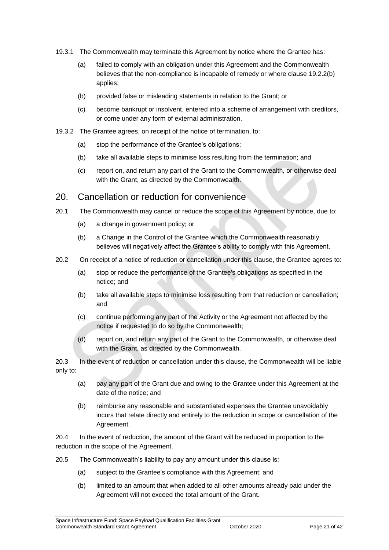- 19.3.1 The Commonwealth may terminate this Agreement by notice where the Grantee has:
	- (a) failed to comply with an obligation under this Agreement and the Commonwealth believes that the non-compliance is incapable of remedy or where clause 19.2.2(b) applies;
	- (b) provided false or misleading statements in relation to the Grant; or
	- (c) become bankrupt or insolvent, entered into a scheme of arrangement with creditors, or come under any form of external administration.
- 19.3.2 The Grantee agrees, on receipt of the notice of termination, to:
	- (a) stop the performance of the Grantee's obligations;
	- (b) take all available steps to minimise loss resulting from the termination; and
	- (c) report on, and return any part of the Grant to the Commonwealth, or otherwise deal with the Grant, as directed by the Commonwealth.

#### 20. Cancellation or reduction for convenience

- 20.1 The Commonwealth may cancel or reduce the scope of this Agreement by notice, due to:
	- (a) a change in government policy; or
	- (b) a Change in the Control of the Grantee which the Commonwealth reasonably believes will negatively affect the Grantee's ability to comply with this Agreement.
- 20.2 On receipt of a notice of reduction or cancellation under this clause, the Grantee agrees to:
	- (a) stop or reduce the performance of the Grantee's obligations as specified in the notice; and
	- (b) take all available steps to minimise loss resulting from that reduction or cancellation; and
	- (c) continue performing any part of the Activity or the Agreement not affected by the notice if requested to do so by the Commonwealth;
	- (d) report on, and return any part of the Grant to the Commonwealth, or otherwise deal with the Grant, as directed by the Commonwealth.

20.3 In the event of reduction or cancellation under this clause, the Commonwealth will be liable only to:

- (a) pay any part of the Grant due and owing to the Grantee under this Agreement at the date of the notice; and
- (b) reimburse any reasonable and substantiated expenses the Grantee unavoidably incurs that relate directly and entirely to the reduction in scope or cancellation of the Agreement.

20.4 In the event of reduction, the amount of the Grant will be reduced in proportion to the reduction in the scope of the Agreement.

- 20.5 The Commonwealth's liability to pay any amount under this clause is:
	- (a) subject to the Grantee's compliance with this Agreement; and
	- (b) limited to an amount that when added to all other amounts already paid under the Agreement will not exceed the total amount of the Grant.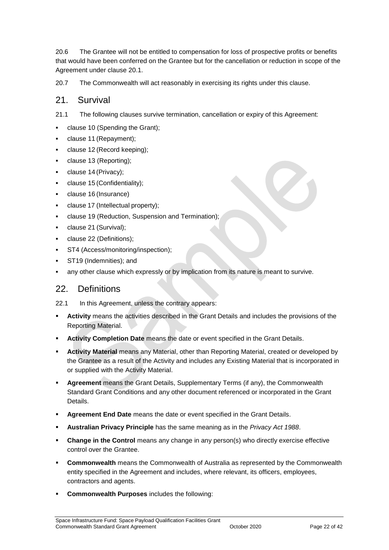20.6 The Grantee will not be entitled to compensation for loss of prospective profits or benefits that would have been conferred on the Grantee but for the cancellation or reduction in scope of the Agreement under clause 20.1.

20.7 The Commonwealth will act reasonably in exercising its rights under this clause.

#### 21. Survival

21.1 The following clauses survive termination, cancellation or expiry of this Agreement:

- clause 10 (Spending the Grant);
- clause 11 (Repayment);
- clause 12 (Record keeping);
- clause 13 (Reporting);
- clause 14 (Privacy);
- clause 15 (Confidentiality);
- clause 16 (Insurance)
- clause 17 (Intellectual property);
- clause 19 (Reduction, Suspension and Termination);
- clause 21 (Survival);
- clause 22 (Definitions);
- ST4 (Access/monitoring/inspection);
- ST19 (Indemnities); and
- any other clause which expressly or by implication from its nature is meant to survive.

#### 22. Definitions

22.1 In this Agreement, unless the contrary appears:

- **Activity** means the activities described in the Grant Details and includes the provisions of the Reporting Material.
- **Activity Completion Date** means the date or event specified in the Grant Details.
- **Activity Material** means any Material, other than Reporting Material, created or developed by the Grantee as a result of the Activity and includes any Existing Material that is incorporated in or supplied with the Activity Material.
- **Agreement** means the Grant Details, Supplementary Terms (if any), the Commonwealth Standard Grant Conditions and any other document referenced or incorporated in the Grant Details.
- **Agreement End Date** means the date or event specified in the Grant Details.
- **Australian Privacy Principle** has the same meaning as in the *Privacy Act 1988*.
- **Change in the Control** means any change in any person(s) who directly exercise effective control over the Grantee.
- **Commonwealth** means the Commonwealth of Australia as represented by the Commonwealth entity specified in the Agreement and includes, where relevant, its officers, employees, contractors and agents.
- **Commonwealth Purposes** includes the following: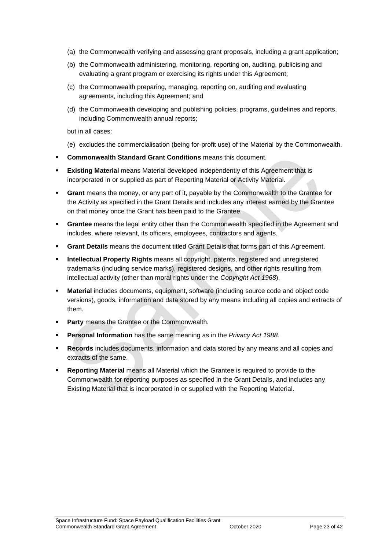- (a) the Commonwealth verifying and assessing grant proposals, including a grant application;
- (b) the Commonwealth administering, monitoring, reporting on, auditing, publicising and evaluating a grant program or exercising its rights under this Agreement;
- (c) the Commonwealth preparing, managing, reporting on, auditing and evaluating agreements, including this Agreement; and
- (d) the Commonwealth developing and publishing policies, programs, guidelines and reports, including Commonwealth annual reports;

but in all cases:

- (e) excludes the commercialisation (being for‐profit use) of the Material by the Commonwealth.
- **Commonwealth Standard Grant Conditions** means this document.
- **Existing Material** means Material developed independently of this Agreement that is incorporated in or supplied as part of Reporting Material or Activity Material.
- **Grant** means the money, or any part of it, payable by the Commonwealth to the Grantee for the Activity as specified in the Grant Details and includes any interest earned by the Grantee on that money once the Grant has been paid to the Grantee.
- **Grantee** means the legal entity other than the Commonwealth specified in the Agreement and includes, where relevant, its officers, employees, contractors and agents.
- **Grant Details** means the document titled Grant Details that forms part of this Agreement.
- **Intellectual Property Rights** means all copyright, patents, registered and unregistered trademarks (including service marks), registered designs, and other rights resulting from intellectual activity (other than moral rights under the *Copyright Act 1968*).
- **Material** includes documents, equipment, software (including source code and object code versions), goods, information and data stored by any means including all copies and extracts of them.
- **Party** means the Grantee or the Commonwealth.
- **Personal Information** has the same meaning as in the *Privacy Act 1988*.
- **Records** includes documents, information and data stored by any means and all copies and extracts of the same.
- **Reporting Material** means all Material which the Grantee is required to provide to the Commonwealth for reporting purposes as specified in the Grant Details, and includes any Existing Material that is incorporated in or supplied with the Reporting Material.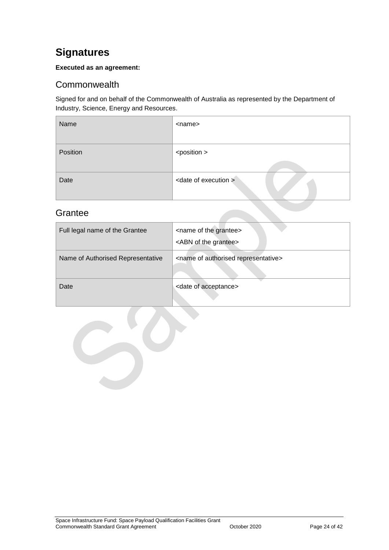## <span id="page-23-0"></span>**Signatures**

#### **Executed as an agreement:**

#### <span id="page-23-1"></span>**Commonwealth**

Signed for and on behalf of the Commonwealth of Australia as represented by the Department of Industry, Science, Energy and Resources.

| Name     | <name></name>                    |
|----------|----------------------------------|
| Position | <position></position>            |
| Date     | <date execution="" of=""></date> |

## <span id="page-23-2"></span>**Grantee**

| Full legal name of the Grantee    | <name grantee="" of="" the=""><br/><abn grantee="" of="" the=""></abn></name> |
|-----------------------------------|-------------------------------------------------------------------------------|
| Name of Authorised Representative | <name authorised="" of="" representative=""></name>                           |
| Date                              | <date acceptance="" of=""></date>                                             |

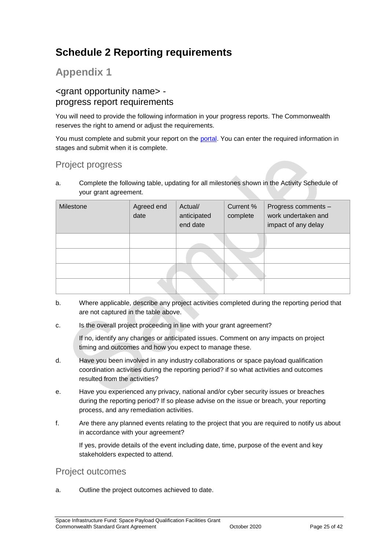## <span id="page-24-0"></span>**Schedule 2 Reporting requirements**

## **Appendix 1**

#### <grant opportunity name> progress report requirements

You will need to provide the following information in your progress reports. The Commonwealth reserves the right to amend or adjust the requirements.

You must complete and submit your report on the [portal.](https://portal.business.gov.au/) You can enter the required information in stages and submit when it is complete.

## Project progress

a. Complete the following table, updating for all milestones shown in the Activity Schedule of your grant agreement.

| Milestone | Agreed end<br>date | Actual/<br>anticipated<br>end date | Current %<br>complete | Progress comments -<br>work undertaken and<br>impact of any delay |
|-----------|--------------------|------------------------------------|-----------------------|-------------------------------------------------------------------|
|           |                    |                                    |                       |                                                                   |
|           |                    |                                    |                       |                                                                   |
|           |                    |                                    |                       |                                                                   |
|           |                    |                                    |                       |                                                                   |

- b. Where applicable, describe any project activities completed during the reporting period that are not captured in the table above.
- c. Is the overall project proceeding in line with your grant agreement?

If no, identify any changes or anticipated issues. Comment on any impacts on project timing and outcomes and how you expect to manage these.

- d. Have you been involved in any industry collaborations or space payload qualification coordination activities during the reporting period? if so what activities and outcomes resulted from the activities?
- e. Have you experienced any privacy, national and/or cyber security issues or breaches during the reporting period? If so please advise on the issue or breach, your reporting process, and any remediation activities.
- f. Are there any planned events relating to the project that you are required to notify us about in accordance with your agreement?

If yes, provide details of the event including date, time, purpose of the event and key stakeholders expected to attend.

#### Project outcomes

a. Outline the project outcomes achieved to date.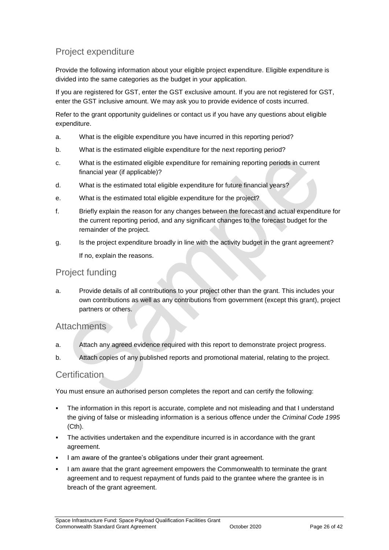## Project expenditure

Provide the following information about your eligible project expenditure. Eligible expenditure is divided into the same categories as the budget in your application.

If you are registered for GST, enter the GST exclusive amount. If you are not registered for GST, enter the GST inclusive amount. We may ask you to provide evidence of costs incurred.

Refer to the grant opportunity guidelines or contact us if you have any questions about eligible expenditure.

- a. What is the eligible expenditure you have incurred in this reporting period?
- b. What is the estimated eligible expenditure for the next reporting period?
- c. What is the estimated eligible expenditure for remaining reporting periods in current financial year (if applicable)?
- d. What is the estimated total eligible expenditure for future financial years?
- e. What is the estimated total eligible expenditure for the project?
- f. Briefly explain the reason for any changes between the forecast and actual expenditure for the current reporting period, and any significant changes to the forecast budget for the remainder of the project.
- g. Is the project expenditure broadly in line with the activity budget in the grant agreement? If no, explain the reasons.

#### Project funding

a. Provide details of all contributions to your project other than the grant. This includes your own contributions as well as any contributions from government (except this grant), project partners or others.

#### **Attachments**

- a. Attach any agreed evidence required with this report to demonstrate project progress.
- b. Attach copies of any published reports and promotional material, relating to the project.

#### Certification

You must ensure an authorised person completes the report and can certify the following:

- The information in this report is accurate, complete and not misleading and that I understand the giving of false or misleading information is a serious offence under the *Criminal Code 1995* (Cth).
- The activities undertaken and the expenditure incurred is in accordance with the grant agreement.
- I am aware of the grantee's obligations under their grant agreement.
- I am aware that the grant agreement empowers the Commonwealth to terminate the grant agreement and to request repayment of funds paid to the grantee where the grantee is in breach of the grant agreement.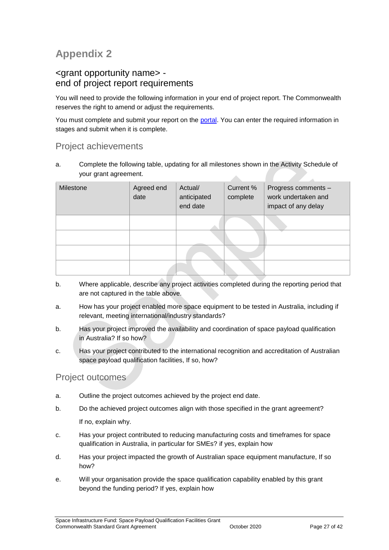## **Appendix 2**

#### <grant opportunity name> end of project report requirements

You will need to provide the following information in your end of project report. The Commonwealth reserves the right to amend or adjust the requirements.

You must complete and submit your report on the [portal.](https://portal.business.gov.au/) You can enter the required information in stages and submit when it is complete.

#### Project achievements

a. Complete the following table, updating for all milestones shown in the Activity Schedule of your grant agreement. A

| Milestone | Agreed end<br>date | Actual/<br>anticipated<br>end date | Current %<br>complete | Progress comments -<br>work undertaken and<br>impact of any delay |
|-----------|--------------------|------------------------------------|-----------------------|-------------------------------------------------------------------|
|           |                    |                                    |                       |                                                                   |
|           |                    |                                    |                       |                                                                   |
|           |                    |                                    |                       |                                                                   |
|           |                    |                                    |                       |                                                                   |

- b. Where applicable, describe any project activities completed during the reporting period that are not captured in the table above.
- a. How has your project enabled more space equipment to be tested in Australia, including if relevant, meeting international/industry standards?
- b. Has your project improved the availability and coordination of space payload qualification in Australia? If so how?
- c. Has your project contributed to the international recognition and accreditation of Australian space payload qualification facilities, If so, how?

#### Project outcomes

- a. Outline the project outcomes achieved by the project end date.
- b. Do the achieved project outcomes align with those specified in the grant agreement? If no, explain why.
- c. Has your project contributed to reducing manufacturing costs and timeframes for space qualification in Australia, in particular for SMEs? if yes, explain how
- d. Has your project impacted the growth of Australian space equipment manufacture, If so how?
- e. Will your organisation provide the space qualification capability enabled by this grant beyond the funding period? If yes, explain how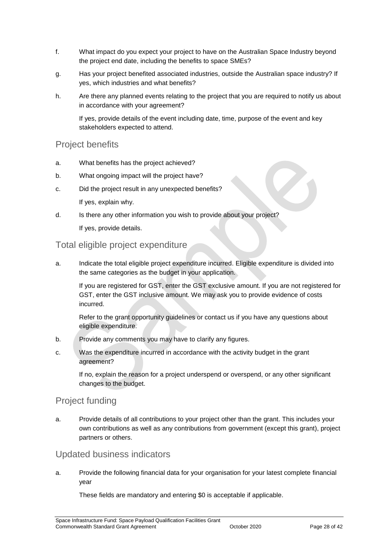- f. What impact do you expect your project to have on the Australian Space Industry beyond the project end date, including the benefits to space SMEs?
- g. Has your project benefited associated industries, outside the Australian space industry? If yes, which industries and what benefits?
- h. Are there any planned events relating to the project that you are required to notify us about in accordance with your agreement?

If yes, provide details of the event including date, time, purpose of the event and key stakeholders expected to attend.

#### Project benefits

- a. What benefits has the project achieved?
- b. What ongoing impact will the project have?
- c. Did the project result in any unexpected benefits? If yes, explain why.
- d. Is there any other information you wish to provide about your project?

If yes, provide details.

#### Total eligible project expenditure

a. Indicate the total eligible project expenditure incurred. Eligible expenditure is divided into the same categories as the budget in your application.

If you are registered for GST, enter the GST exclusive amount. If you are not registered for GST, enter the GST inclusive amount. We may ask you to provide evidence of costs incurred.

Refer to the grant opportunity guidelines or contact us if you have any questions about eligible expenditure.

- b. Provide any comments you may have to clarify any figures.
- c. Was the expenditure incurred in accordance with the activity budget in the grant agreement?

If no, explain the reason for a project underspend or overspend, or any other significant changes to the budget.

#### Project funding

a. Provide details of all contributions to your project other than the grant. This includes your own contributions as well as any contributions from government (except this grant), project partners or others.

#### Updated business indicators

a. Provide the following financial data for your organisation for your latest complete financial year

These fields are mandatory and entering \$0 is acceptable if applicable.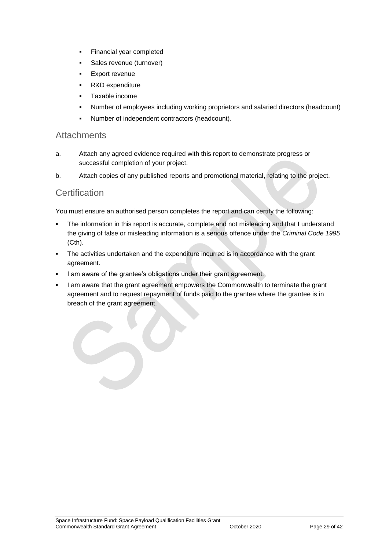- Financial year completed
- **Sales revenue (turnover)**
- Export revenue
- R&D expenditure
- Taxable income
- Number of employees including working proprietors and salaried directors (headcount)
- Number of independent contractors (headcount).

#### **Attachments**

- a. Attach any agreed evidence required with this report to demonstrate progress or successful completion of your project.
- b. Attach copies of any published reports and promotional material, relating to the project.

#### **Certification**

You must ensure an authorised person completes the report and can certify the following:

- The information in this report is accurate, complete and not misleading and that I understand the giving of false or misleading information is a serious offence under the *Criminal Code 1995* (Cth).
- The activities undertaken and the expenditure incurred is in accordance with the grant agreement.
- I am aware of the grantee's obligations under their grant agreement.
- I am aware that the grant agreement empowers the Commonwealth to terminate the grant agreement and to request repayment of funds paid to the grantee where the grantee is in breach of the grant agreement.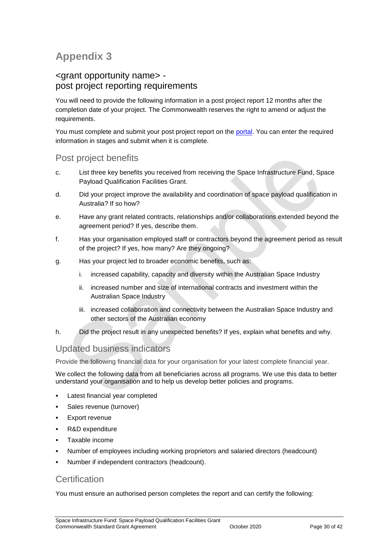## **Appendix 3**

#### <grant opportunity name> post project reporting requirements

You will need to provide the following information in a post project report 12 months after the completion date of your project. The Commonwealth reserves the right to amend or adjust the requirements.

You must complete and submit your post project report on the [portal.](https://portal.business.gov.au/) You can enter the required information in stages and submit when it is complete.

## Post project benefits

- c. List three key benefits you received from receiving the Space Infrastructure Fund, Space Payload Qualification Facilities Grant.
- d. Did your project improve the availability and coordination of space payload qualification in Australia? If so how?
- e. Have any grant related contracts, relationships and/or collaborations extended beyond the agreement period? If yes, describe them.
- f. Has your organisation employed staff or contractors beyond the agreement period as result of the project? If yes, how many? Are they ongoing?
- g. Has your project led to broader economic benefits, such as:
	- i. increased capability, capacity and diversity within the Australian Space Industry
	- ii. increased number and size of international contracts and investment within the Australian Space Industry
	- iii. increased collaboration and connectivity between the Australian Space Industry and other sectors of the Australian economy
- h. Did the project result in any unexpected benefits? If yes, explain what benefits and why.

#### Updated business indicators

Provide the following financial data for your organisation for your latest complete financial year.

We collect the following data from all beneficiaries across all programs. We use this data to better understand your organisation and to help us develop better policies and programs.

- Latest financial year completed
- Sales revenue (turnover)
- Export revenue
- R&D expenditure
- Taxable income
- Number of employees including working proprietors and salaried directors (headcount)
- Number if independent contractors (headcount).

#### **Certification**

You must ensure an authorised person completes the report and can certify the following: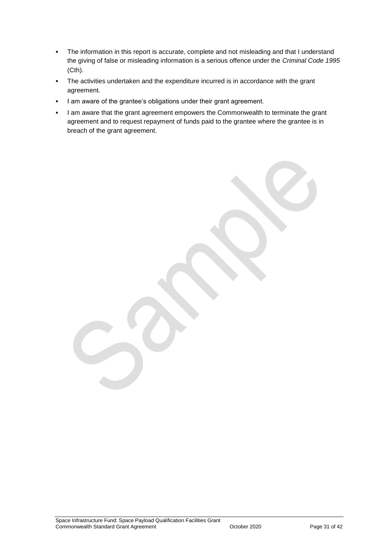- The information in this report is accurate, complete and not misleading and that I understand the giving of false or misleading information is a serious offence under the *Criminal Code 1995* (Cth).
- The activities undertaken and the expenditure incurred is in accordance with the grant agreement.
- I am aware of the grantee's obligations under their grant agreement.
- I am aware that the grant agreement empowers the Commonwealth to terminate the grant agreement and to request repayment of funds paid to the grantee where the grantee is in breach of the grant agreement.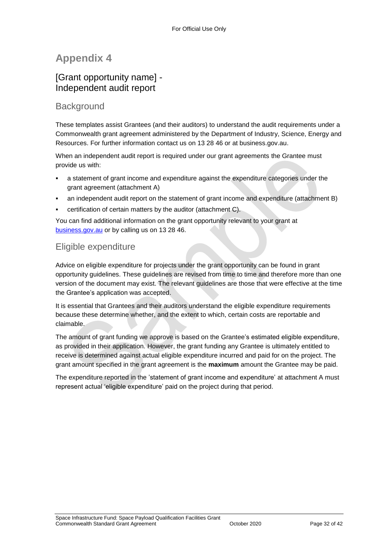## **Appendix 4**

#### [Grant opportunity name] - Independent audit report

#### **Background**

These templates assist Grantees (and their auditors) to understand the audit requirements under a Commonwealth grant agreement administered by the Department of Industry, Science, Energy and Resources. For further information contact us on 13 28 46 or at business.gov.au.

When an independent audit report is required under our grant agreements the Grantee must provide us with:

- a statement of grant income and expenditure against the expenditure categories under the grant agreement (attachment A)
- an independent audit report on the statement of grant income and expenditure (attachment B)
- certification of certain matters by the auditor (attachment C).

You can find additional information on the grant opportunity relevant to your grant at [business.gov.au](http://www.business.gov.au/Pages/default.aspx) or by calling us on 13 28 46.

## Eligible expenditure

Advice on eligible expenditure for projects under the grant opportunity can be found in grant opportunity guidelines. These guidelines are revised from time to time and therefore more than one version of the document may exist. The relevant guidelines are those that were effective at the time the Grantee's application was accepted.

It is essential that Grantees and their auditors understand the eligible expenditure requirements because these determine whether, and the extent to which, certain costs are reportable and claimable.

The amount of grant funding we approve is based on the Grantee's estimated eligible expenditure, as provided in their application. However, the grant funding any Grantee is ultimately entitled to receive is determined against actual eligible expenditure incurred and paid for on the project. The grant amount specified in the grant agreement is the **maximum** amount the Grantee may be paid.

The expenditure reported in the 'statement of grant income and expenditure' at attachment A must represent actual 'eligible expenditure' paid on the project during that period.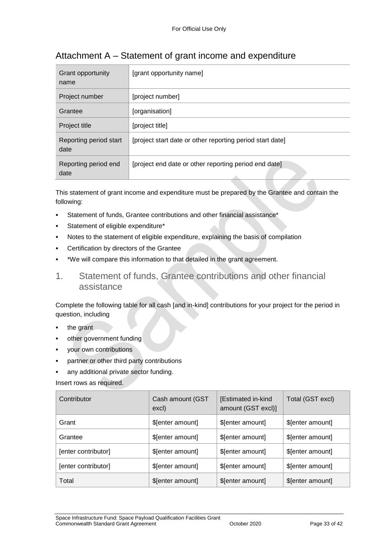| Grant opportunity<br>name      | [grant opportunity name]                                  |
|--------------------------------|-----------------------------------------------------------|
| Project number                 | [project number]                                          |
| Grantee                        | [organisation]                                            |
| Project title                  | [project title]                                           |
| Reporting period start<br>date | [project start date or other reporting period start date] |
| Reporting period end<br>date   | [project end date or other reporting period end date]     |

## Attachment A – Statement of grant income and expenditure

This statement of grant income and expenditure must be prepared by the Grantee and contain the following:

- Statement of funds, Grantee contributions and other financial assistance\*
- Statement of eligible expenditure\*
- Notes to the statement of eligible expenditure, explaining the basis of compilation
- Certification by directors of the Grantee
- \*We will compare this information to that detailed in the grant agreement.
- 1. Statement of funds, Grantee contributions and other financial assistance

Complete the following table for all cash [and in-kind] contributions for your project for the period in question, including

- the grant
- other government funding
- your own contributions
- partner or other third party contributions
- any additional private sector funding.

Insert rows as required.

| Contributor         | Cash amount (GST<br>excl) | [Estimated in-kind<br>amount (GST excl)] | Total (GST excl) |
|---------------------|---------------------------|------------------------------------------|------------------|
| Grant               | \$[enter amount]          | \$[enter amount]                         | \$[enter amount] |
| Grantee             | \$[enter amount]          | \$[enter amount]                         | \$[enter amount] |
| [enter contributor] | \$[enter amount]          | \$[enter amount]                         | \$[enter amount] |
| [enter contributor] | \$[enter amount]          | \$[enter amount]                         | \$[enter amount] |
| Total               | \$[enter amount]          | \$[enter amount]                         | \$[enter amount] |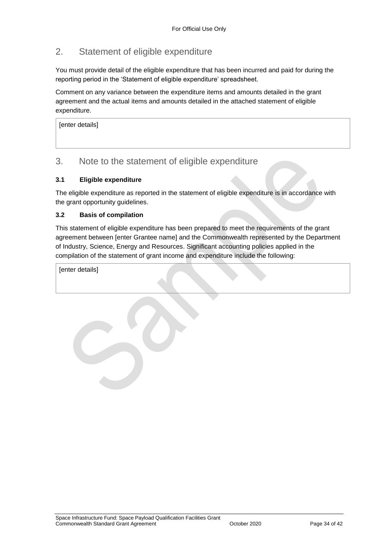## 2. Statement of eligible expenditure

You must provide detail of the eligible expenditure that has been incurred and paid for during the reporting period in the 'Statement of eligible expenditure' spreadsheet.

Comment on any variance between the expenditure items and amounts detailed in the grant agreement and the actual items and amounts detailed in the attached statement of eligible expenditure.

[enter details]

#### 3. Note to the statement of eligible expenditure

#### **3.1 Eligible expenditure**

The eligible expenditure as reported in the statement of eligible expenditure is in accordance with the grant opportunity guidelines.

#### **3.2 Basis of compilation**

This statement of eligible expenditure has been prepared to meet the requirements of the grant agreement between [enter Grantee name] and the Commonwealth represented by the Department of Industry, Science, Energy and Resources. Significant accounting policies applied in the compilation of the statement of grant income and expenditure include the following:

[enter details]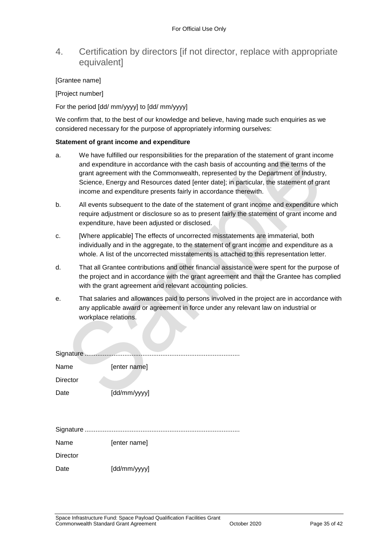#### 4. Certification by directors [if not director, replace with appropriate equivalent]

#### [Grantee name]

[Project number]

For the period [dd/ mm/yyyy] to [dd/ mm/yyyy]

We confirm that, to the best of our knowledge and believe, having made such enquiries as we considered necessary for the purpose of appropriately informing ourselves:

#### **Statement of grant income and expenditure**

- a. We have fulfilled our responsibilities for the preparation of the statement of grant income and expenditure in accordance with the cash basis of accounting and the terms of the grant agreement with the Commonwealth, represented by the Department of Industry, Science, Energy and Resources dated [enter date]; in particular, the statement of grant income and expenditure presents fairly in accordance therewith.
- b. All events subsequent to the date of the statement of grant income and expenditure which require adjustment or disclosure so as to present fairly the statement of grant income and expenditure, have been adjusted or disclosed.
- c. [Where applicable] The effects of uncorrected misstatements are immaterial, both individually and in the aggregate, to the statement of grant income and expenditure as a whole. A list of the uncorrected misstatements is attached to this representation letter.
- d. That all Grantee contributions and other financial assistance were spent for the purpose of the project and in accordance with the grant agreement and that the Grantee has complied with the grant agreement and relevant accounting policies.
- e. That salaries and allowances paid to persons involved in the project are in accordance with any applicable award or agreement in force under any relevant law on industrial or workplace relations.

| Signature       |              |
|-----------------|--------------|
| Name            | [enter name] |
| <b>Director</b> |              |
| Date            | [dd/mm/yyyy] |
|                 |              |
|                 |              |
|                 |              |
| Name            | [enter name] |
| <b>Director</b> |              |
| Date            | [dd/mm/yyyy] |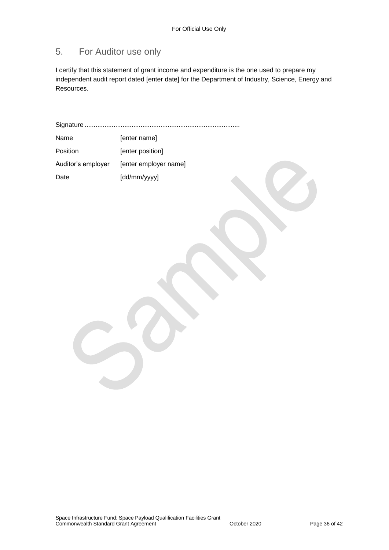## 5. For Auditor use only

I certify that this statement of grant income and expenditure is the one used to prepare my independent audit report dated [enter date] for the Department of Industry, Science, Energy and Resources.

Signature ...................................................................................... Name [enter name] Position [enter position] Auditor's employer [enter employer name] Date [dd/mm/yyyy]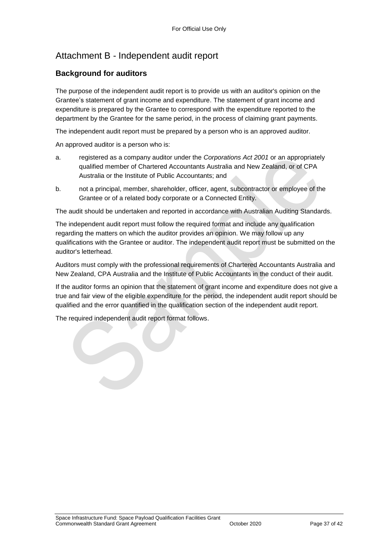## Attachment B - Independent audit report

#### **Background for auditors**

The purpose of the independent audit report is to provide us with an auditor's opinion on the Grantee's statement of grant income and expenditure. The statement of grant income and expenditure is prepared by the Grantee to correspond with the expenditure reported to the department by the Grantee for the same period, in the process of claiming grant payments.

The independent audit report must be prepared by a person who is an approved auditor.

An approved auditor is a person who is:

- a. registered as a company auditor under the *Corporations Act 2001* or an appropriately qualified member of Chartered Accountants Australia and New Zealand, or of CPA Australia or the Institute of Public Accountants; and
- b. not a principal, member, shareholder, officer, agent, subcontractor or employee of the Grantee or of a related body corporate or a Connected Entity.

The audit should be undertaken and reported in accordance with Australian Auditing Standards.

The independent audit report must follow the required format and include any qualification regarding the matters on which the auditor provides an opinion. We may follow up any qualifications with the Grantee or auditor. The independent audit report must be submitted on the auditor's letterhead.

Auditors must comply with the professional requirements of Chartered Accountants Australia and New Zealand, CPA Australia and the Institute of Public Accountants in the conduct of their audit.

If the auditor forms an opinion that the statement of grant income and expenditure does not give a true and fair view of the eligible expenditure for the period, the independent audit report should be qualified and the error quantified in the qualification section of the independent audit report.

The required independent audit report format follows.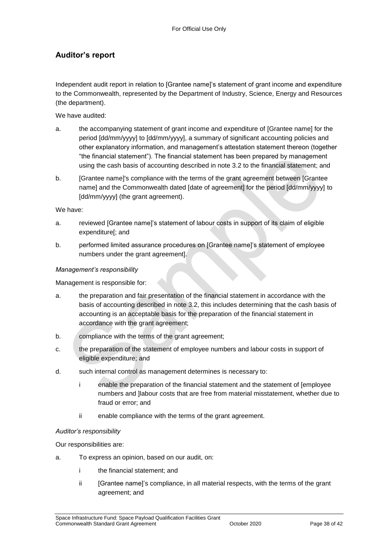#### **Auditor's report**

Independent audit report in relation to [Grantee name]'s statement of grant income and expenditure to the Commonwealth, represented by the Department of Industry, Science, Energy and Resources (the department).

We have audited:

- a. the accompanying statement of grant income and expenditure of [Grantee name] for the period [dd/mm/yyyy] to [dd/mm/yyyy], a summary of significant accounting policies and other explanatory information, and management's attestation statement thereon (together "the financial statement"). The financial statement has been prepared by management using the cash basis of accounting described in note 3.2 to the financial statement; and
- b. [Grantee name]'s compliance with the terms of the grant agreement between [Grantee name] and the Commonwealth dated [date of agreement] for the period [dd/mm/yyyy] to [dd/mm/yyyy] (the grant agreement).

We have:

- a. reviewed [Grantee name]'s statement of labour costs in support of its claim of eligible expenditure[; and
- b. performed limited assurance procedures on [Grantee name]'s statement of employee numbers under the grant agreement].

#### *Management's responsibility*

Management is responsible for:

- a. the preparation and fair presentation of the financial statement in accordance with the basis of accounting described in note 3.2, this includes determining that the cash basis of accounting is an acceptable basis for the preparation of the financial statement in accordance with the grant agreement;
- b. compliance with the terms of the grant agreement;
- c. the preparation of the statement of employee numbers and labour costs in support of eligible expenditure; and
- d. such internal control as management determines is necessary to:
	- i enable the preparation of the financial statement and the statement of [employee numbers and ]labour costs that are free from material misstatement, whether due to fraud or error; and
	- ii enable compliance with the terms of the grant agreement.

#### *Auditor's responsibility*

Our responsibilities are:

- a. To express an opinion, based on our audit, on:
	- i the financial statement; and
	- ii [Grantee name]'s compliance, in all material respects, with the terms of the grant agreement; and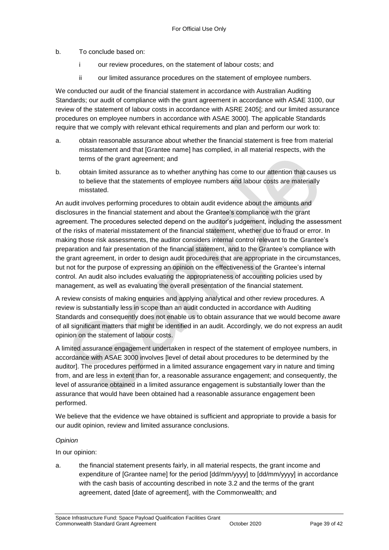b. To conclude based on:

- i our review procedures, on the statement of labour costs; and
- ii our limited assurance procedures on the statement of employee numbers.

We conducted our audit of the financial statement in accordance with Australian Auditing Standards; our audit of compliance with the grant agreement in accordance with ASAE 3100, our review of the statement of labour costs in accordance with ASRE 2405[; and our limited assurance procedures on employee numbers in accordance with ASAE 3000]. The applicable Standards require that we comply with relevant ethical requirements and plan and perform our work to:

- a. obtain reasonable assurance about whether the financial statement is free from material misstatement and that [Grantee name] has complied, in all material respects, with the terms of the grant agreement; and
- b. obtain limited assurance as to whether anything has come to our attention that causes us to believe that the statements of employee numbers and labour costs are materially misstated.

An audit involves performing procedures to obtain audit evidence about the amounts and disclosures in the financial statement and about the Grantee's compliance with the grant agreement. The procedures selected depend on the auditor's judgement, including the assessment of the risks of material misstatement of the financial statement, whether due to fraud or error. In making those risk assessments, the auditor considers internal control relevant to the Grantee's preparation and fair presentation of the financial statement, and to the Grantee's compliance with the grant agreement, in order to design audit procedures that are appropriate in the circumstances, but not for the purpose of expressing an opinion on the effectiveness of the Grantee's internal control. An audit also includes evaluating the appropriateness of accounting policies used by management, as well as evaluating the overall presentation of the financial statement.

A review consists of making enquiries and applying analytical and other review procedures. A review is substantially less in scope than an audit conducted in accordance with Auditing Standards and consequently does not enable us to obtain assurance that we would become aware of all significant matters that might be identified in an audit. Accordingly, we do not express an audit opinion on the statement of labour costs.

A limited assurance engagement undertaken in respect of the statement of employee numbers, in accordance with ASAE 3000 involves [level of detail about procedures to be determined by the auditor]. The procedures performed in a limited assurance engagement vary in nature and timing from, and are less in extent than for, a reasonable assurance engagement; and consequently, the level of assurance obtained in a limited assurance engagement is substantially lower than the assurance that would have been obtained had a reasonable assurance engagement been performed.

We believe that the evidence we have obtained is sufficient and appropriate to provide a basis for our audit opinion, review and limited assurance conclusions.

#### *Opinion*

In our opinion:

a. the financial statement presents fairly, in all material respects, the grant income and expenditure of [Grantee name] for the period [dd/mm/yyyy] to [dd/mm/yyyy] in accordance with the cash basis of accounting described in note 3.2 and the terms of the grant agreement, dated [date of agreement], with the Commonwealth; and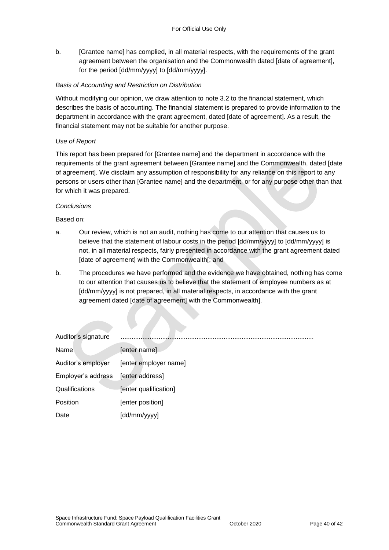b. [Grantee name] has complied, in all material respects, with the requirements of the grant agreement between the organisation and the Commonwealth dated [date of agreement], for the period [dd/mm/yyyy] to [dd/mm/yyyy].

#### *Basis of Accounting and Restriction on Distribution*

Without modifying our opinion, we draw attention to note 3.2 to the financial statement, which describes the basis of accounting. The financial statement is prepared to provide information to the department in accordance with the grant agreement, dated [date of agreement]. As a result, the financial statement may not be suitable for another purpose.

#### *Use of Report*

This report has been prepared for [Grantee name] and the department in accordance with the requirements of the grant agreement between [Grantee name] and the Commonwealth, dated [date of agreement]. We disclaim any assumption of responsibility for any reliance on this report to any persons or users other than [Grantee name] and the department, or for any purpose other than that for which it was prepared.

#### *Conclusions*

Based on:

- a. Our review, which is not an audit, nothing has come to our attention that causes us to believe that the statement of labour costs in the period [dd/mm/yyyy] to [dd/mm/yyyy] is not, in all material respects, fairly presented in accordance with the grant agreement dated [date of agreement] with the Commonwealth[; and
- b. The procedures we have performed and the evidence we have obtained, nothing has come to our attention that causes us to believe that the statement of employee numbers as at [dd/mm/yyyy] is not prepared, in all material respects, in accordance with the grant agreement dated [date of agreement] with the Commonwealth].

| Auditor's signature |                       |
|---------------------|-----------------------|
| Name                | [enter name]          |
| Auditor's employer  | [enter employer name] |
| Employer's address  | [enter address]       |
| Qualifications      | [enter qualification] |
| Position            | [enter position]      |
| Date                | [dd/mm/yyyy]          |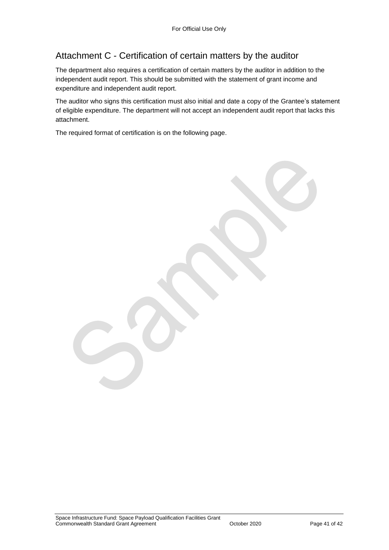## Attachment C - Certification of certain matters by the auditor

The department also requires a certification of certain matters by the auditor in addition to the independent audit report. This should be submitted with the statement of grant income and expenditure and independent audit report.

The auditor who signs this certification must also initial and date a copy of the Grantee's statement of eligible expenditure. The department will not accept an independent audit report that lacks this attachment.

The required format of certification is on the following page.